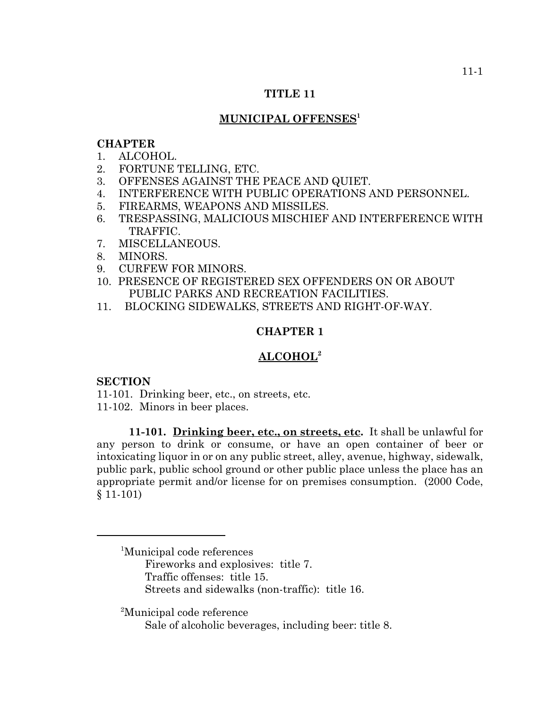## **TITLE 11**

# **MUNICIPAL OFFENSES1**

### **CHAPTER**

- 1. ALCOHOL.
- 2. FORTUNE TELLING, ETC.
- 3. OFFENSES AGAINST THE PEACE AND QUIET.
- 4. INTERFERENCE WITH PUBLIC OPERATIONS AND PERSONNEL.
- 5. FIREARMS, WEAPONS AND MISSILES.
- 6. TRESPASSING, MALICIOUS MISCHIEF AND INTERFERENCE WITH TRAFFIC.
- 7. MISCELLANEOUS.
- 8. MINORS.
- 9. CURFEW FOR MINORS.
- 10. PRESENCE OF REGISTERED SEX OFFENDERS ON OR ABOUT PUBLIC PARKS AND RECREATION FACILITIES.
- 11. BLOCKING SIDEWALKS, STREETS AND RIGHT-OF-WAY.

# **CHAPTER 1**

# **ALCOHOL2**

## **SECTION**

11-101. Drinking beer, etc., on streets, etc.

11-102. Minors in beer places.

**11-101. Drinking beer, etc., on streets, etc.** It shall be unlawful for any person to drink or consume, or have an open container of beer or intoxicating liquor in or on any public street, alley, avenue, highway, sidewalk, public park, public school ground or other public place unless the place has an appropriate permit and/or license for on premises consumption. (2000 Code, § 11-101)

<sup>2</sup> Municipal code reference

Sale of alcoholic beverages, including beer: title 8.

<sup>1</sup> Municipal code references Fireworks and explosives: title 7. Traffic offenses: title 15. Streets and sidewalks (non-traffic): title 16.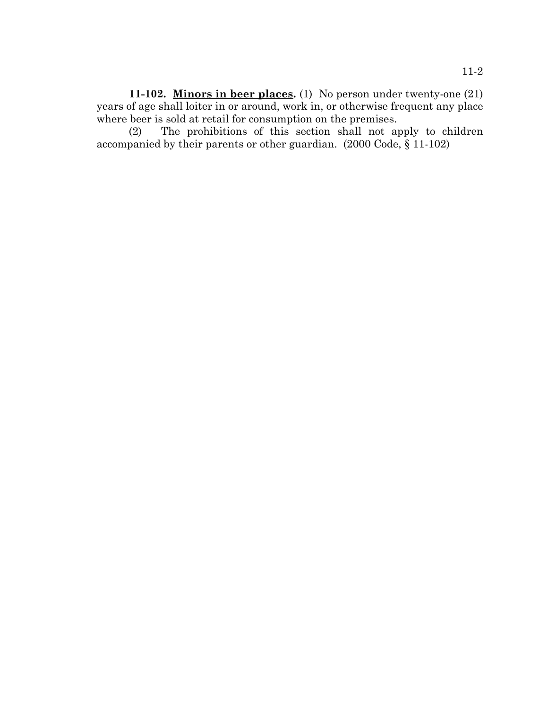**11-102. Minors in beer places.** (1) No person under twenty-one (21) years of age shall loiter in or around, work in, or otherwise frequent any place where beer is sold at retail for consumption on the premises.

(2) The prohibitions of this section shall not apply to children accompanied by their parents or other guardian. (2000 Code, § 11-102)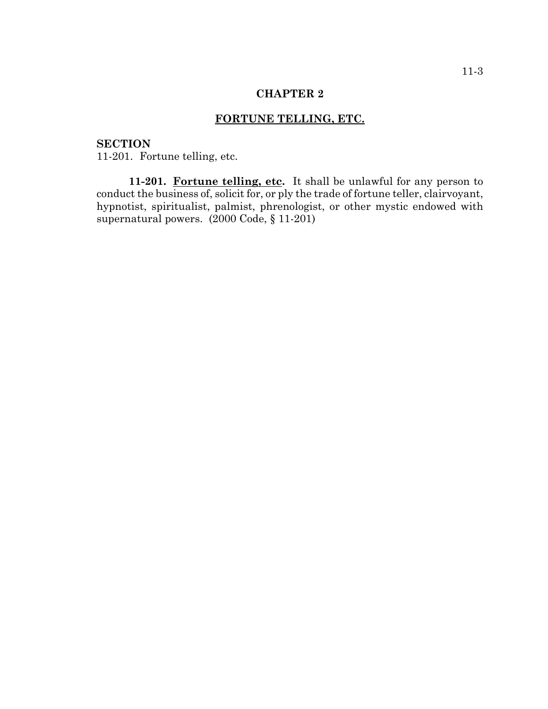## **FORTUNE TELLING, ETC.**

# **SECTION**

11-201. Fortune telling, etc.

11-201. Fortune telling, etc. It shall be unlawful for any person to conduct the business of, solicit for, or ply the trade of fortune teller, clairvoyant, hypnotist, spiritualist, palmist, phrenologist, or other mystic endowed with supernatural powers. (2000 Code, § 11-201)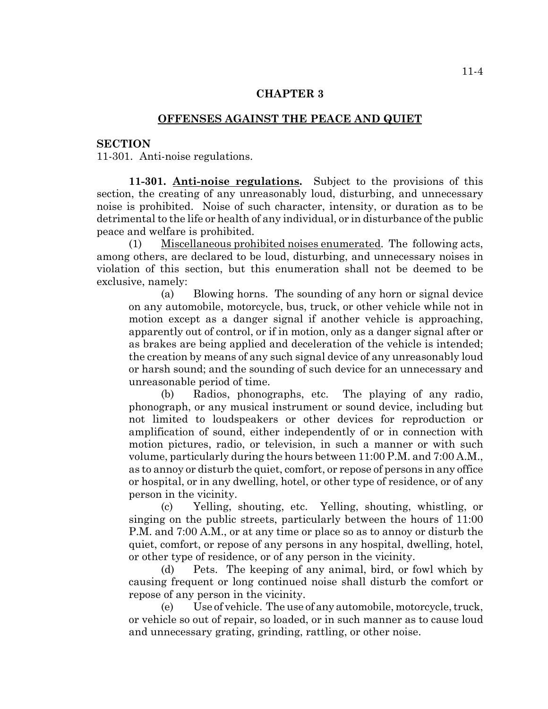## **OFFENSES AGAINST THE PEACE AND QUIET**

#### **SECTION**

11-301. Anti-noise regulations.

**11-301. Anti-noise regulations.** Subject to the provisions of this section, the creating of any unreasonably loud, disturbing, and unnecessary noise is prohibited. Noise of such character, intensity, or duration as to be detrimental to the life or health of any individual, or in disturbance of the public peace and welfare is prohibited.

(1) Miscellaneous prohibited noises enumerated. The following acts, among others, are declared to be loud, disturbing, and unnecessary noises in violation of this section, but this enumeration shall not be deemed to be exclusive, namely:

(a) Blowing horns. The sounding of any horn or signal device on any automobile, motorcycle, bus, truck, or other vehicle while not in motion except as a danger signal if another vehicle is approaching, apparently out of control, or if in motion, only as a danger signal after or as brakes are being applied and deceleration of the vehicle is intended; the creation by means of any such signal device of any unreasonably loud or harsh sound; and the sounding of such device for an unnecessary and unreasonable period of time.

(b) Radios, phonographs, etc. The playing of any radio, phonograph, or any musical instrument or sound device, including but not limited to loudspeakers or other devices for reproduction or amplification of sound, either independently of or in connection with motion pictures, radio, or television, in such a manner or with such volume, particularly during the hours between 11:00 P.M. and 7:00 A.M., as to annoy or disturb the quiet, comfort, or repose of persons in any office or hospital, or in any dwelling, hotel, or other type of residence, or of any person in the vicinity.

(c) Yelling, shouting, etc. Yelling, shouting, whistling, or singing on the public streets, particularly between the hours of 11:00 P.M. and 7:00 A.M., or at any time or place so as to annoy or disturb the quiet, comfort, or repose of any persons in any hospital, dwelling, hotel, or other type of residence, or of any person in the vicinity.

(d) Pets. The keeping of any animal, bird, or fowl which by causing frequent or long continued noise shall disturb the comfort or repose of any person in the vicinity.

(e) Use of vehicle. The use of any automobile, motorcycle, truck, or vehicle so out of repair, so loaded, or in such manner as to cause loud and unnecessary grating, grinding, rattling, or other noise.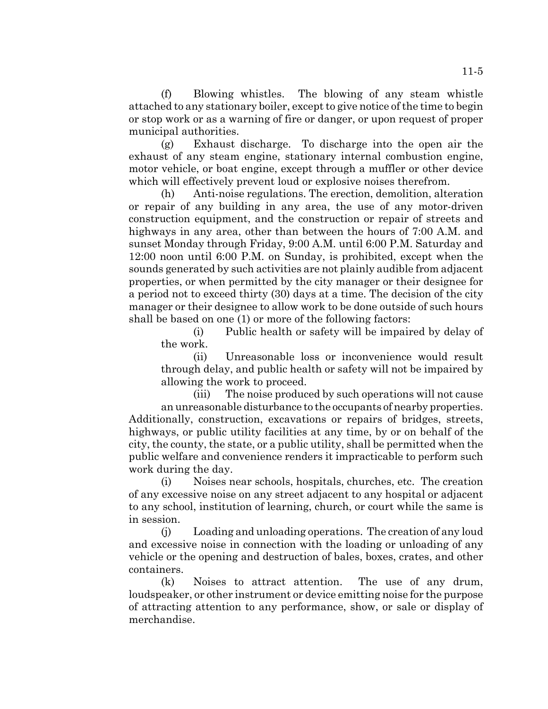(f) Blowing whistles. The blowing of any steam whistle attached to any stationary boiler, except to give notice of the time to begin or stop work or as a warning of fire or danger, or upon request of proper municipal authorities.

(g) Exhaust discharge. To discharge into the open air the exhaust of any steam engine, stationary internal combustion engine, motor vehicle, or boat engine, except through a muffler or other device which will effectively prevent loud or explosive noises therefrom.

(h) Anti-noise regulations. The erection, demolition, alteration or repair of any building in any area, the use of any motor-driven construction equipment, and the construction or repair of streets and highways in any area, other than between the hours of 7:00 A.M. and sunset Monday through Friday, 9:00 A.M. until 6:00 P.M. Saturday and 12:00 noon until 6:00 P.M. on Sunday, is prohibited, except when the sounds generated by such activities are not plainly audible from adjacent properties, or when permitted by the city manager or their designee for a period not to exceed thirty (30) days at a time. The decision of the city manager or their designee to allow work to be done outside of such hours shall be based on one (1) or more of the following factors:

(i) Public health or safety will be impaired by delay of the work.

(ii) Unreasonable loss or inconvenience would result through delay, and public health or safety will not be impaired by allowing the work to proceed.

(iii) The noise produced by such operations will not cause an unreasonable disturbance to the occupants of nearby properties. Additionally, construction, excavations or repairs of bridges, streets, highways, or public utility facilities at any time, by or on behalf of the city, the county, the state, or a public utility, shall be permitted when the public welfare and convenience renders it impracticable to perform such work during the day.

(i) Noises near schools, hospitals, churches, etc. The creation of any excessive noise on any street adjacent to any hospital or adjacent to any school, institution of learning, church, or court while the same is in session.

(j) Loading and unloading operations. The creation of any loud and excessive noise in connection with the loading or unloading of any vehicle or the opening and destruction of bales, boxes, crates, and other containers.

(k) Noises to attract attention. The use of any drum, loudspeaker, or other instrument or device emitting noise for the purpose of attracting attention to any performance, show, or sale or display of merchandise.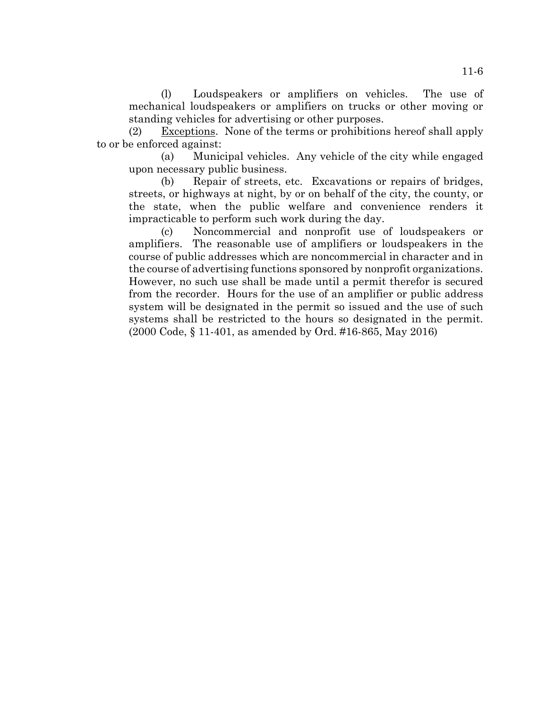(l) Loudspeakers or amplifiers on vehicles. The use of mechanical loudspeakers or amplifiers on trucks or other moving or standing vehicles for advertising or other purposes.

(2) Exceptions. None of the terms or prohibitions hereof shall apply to or be enforced against:

(a) Municipal vehicles. Any vehicle of the city while engaged upon necessary public business.

(b) Repair of streets, etc. Excavations or repairs of bridges, streets, or highways at night, by or on behalf of the city, the county, or the state, when the public welfare and convenience renders it impracticable to perform such work during the day.

(c) Noncommercial and nonprofit use of loudspeakers or amplifiers. The reasonable use of amplifiers or loudspeakers in the course of public addresses which are noncommercial in character and in the course of advertising functions sponsored by nonprofit organizations. However, no such use shall be made until a permit therefor is secured from the recorder. Hours for the use of an amplifier or public address system will be designated in the permit so issued and the use of such systems shall be restricted to the hours so designated in the permit. (2000 Code, § 11-401, as amended by Ord. #16-865, May 2016)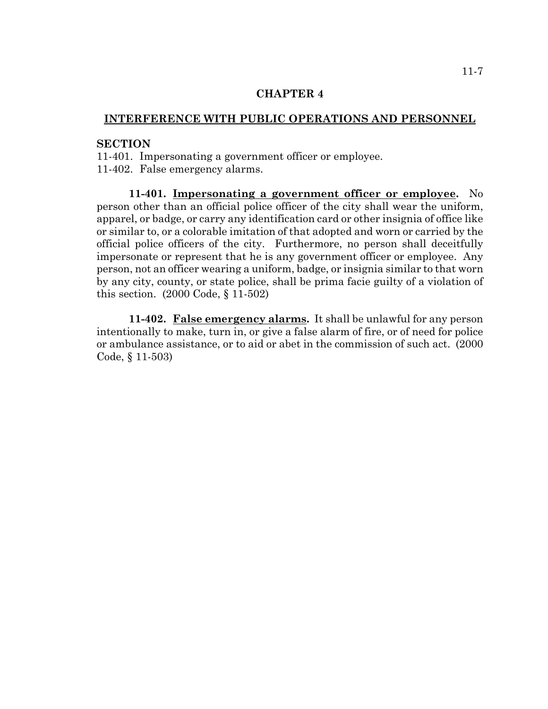## **INTERFERENCE WITH PUBLIC OPERATIONS AND PERSONNEL**

## **SECTION**

11-401. Impersonating a government officer or employee. 11-402. False emergency alarms.

**11-401. Impersonating a government officer or employee.** No person other than an official police officer of the city shall wear the uniform, apparel, or badge, or carry any identification card or other insignia of office like or similar to, or a colorable imitation of that adopted and worn or carried by the official police officers of the city. Furthermore, no person shall deceitfully impersonate or represent that he is any government officer or employee. Any person, not an officer wearing a uniform, badge, or insignia similar to that worn by any city, county, or state police, shall be prima facie guilty of a violation of this section. (2000 Code, § 11-502)

**11-402. False emergency alarms.** It shall be unlawful for any person intentionally to make, turn in, or give a false alarm of fire, or of need for police or ambulance assistance, or to aid or abet in the commission of such act. (2000 Code, § 11-503)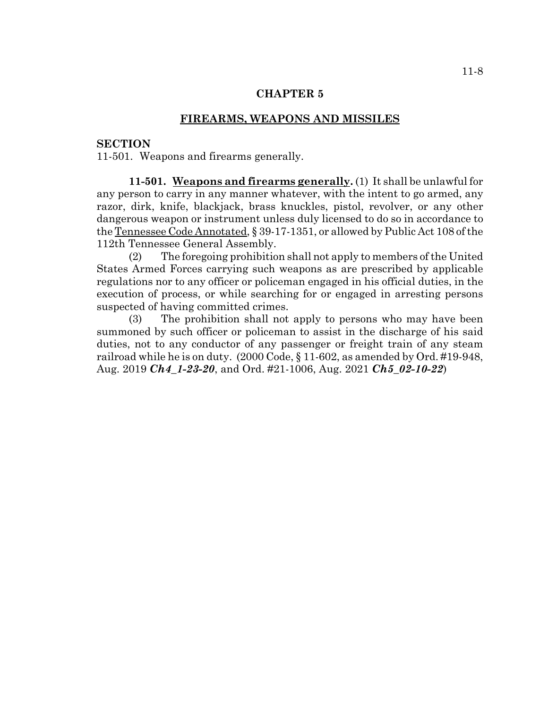### **FIREARMS, WEAPONS AND MISSILES**

## **SECTION**

11-501. Weapons and firearms generally.

**11-501. Weapons and firearms generally.** (1) It shall be unlawful for any person to carry in any manner whatever, with the intent to go armed, any razor, dirk, knife, blackjack, brass knuckles, pistol, revolver, or any other dangerous weapon or instrument unless duly licensed to do so in accordance to the Tennessee Code Annotated, § 39-17-1351, or allowed by Public Act 108 of the 112th Tennessee General Assembly.

(2) The foregoing prohibition shall not apply to members of the United States Armed Forces carrying such weapons as are prescribed by applicable regulations nor to any officer or policeman engaged in his official duties, in the execution of process, or while searching for or engaged in arresting persons suspected of having committed crimes.

(3) The prohibition shall not apply to persons who may have been summoned by such officer or policeman to assist in the discharge of his said duties, not to any conductor of any passenger or freight train of any steam railroad while he is on duty. (2000 Code, § 11-602, as amended by Ord. #19-948, Aug. 2019 *Ch4\_1-23-20*, and Ord. #21-1006, Aug. 2021 *Ch5\_02-10-22*)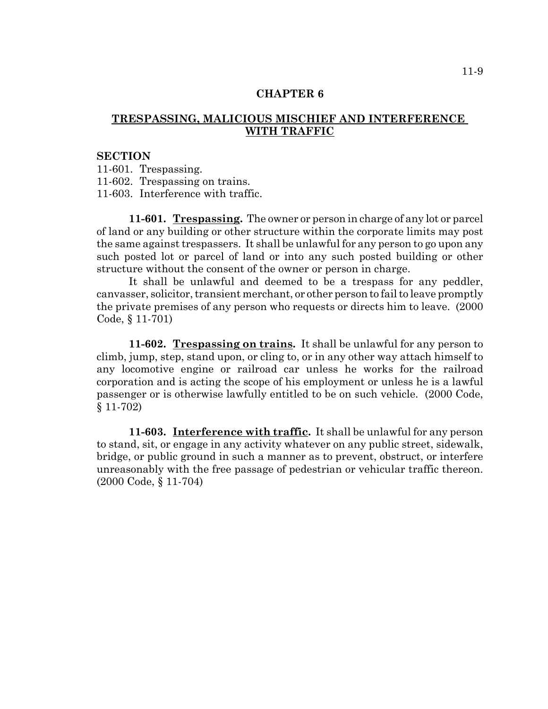# **TRESPASSING, MALICIOUS MISCHIEF AND INTERFERENCE WITH TRAFFIC**

#### **SECTION**

11-601. Trespassing.

11-602. Trespassing on trains.

11-603. Interference with traffic.

**11-601. Trespassing.** The owner or person in charge of any lot or parcel of land or any building or other structure within the corporate limits may post the same against trespassers. It shall be unlawful for any person to go upon any such posted lot or parcel of land or into any such posted building or other structure without the consent of the owner or person in charge.

It shall be unlawful and deemed to be a trespass for any peddler, canvasser, solicitor, transient merchant, or other person to fail to leave promptly the private premises of any person who requests or directs him to leave. (2000 Code, § 11-701)

**11-602. Trespassing on trains.** It shall be unlawful for any person to climb, jump, step, stand upon, or cling to, or in any other way attach himself to any locomotive engine or railroad car unless he works for the railroad corporation and is acting the scope of his employment or unless he is a lawful passenger or is otherwise lawfully entitled to be on such vehicle. (2000 Code, § 11-702)

**11-603. Interference with traffic.** It shall be unlawful for any person to stand, sit, or engage in any activity whatever on any public street, sidewalk, bridge, or public ground in such a manner as to prevent, obstruct, or interfere unreasonably with the free passage of pedestrian or vehicular traffic thereon. (2000 Code, § 11-704)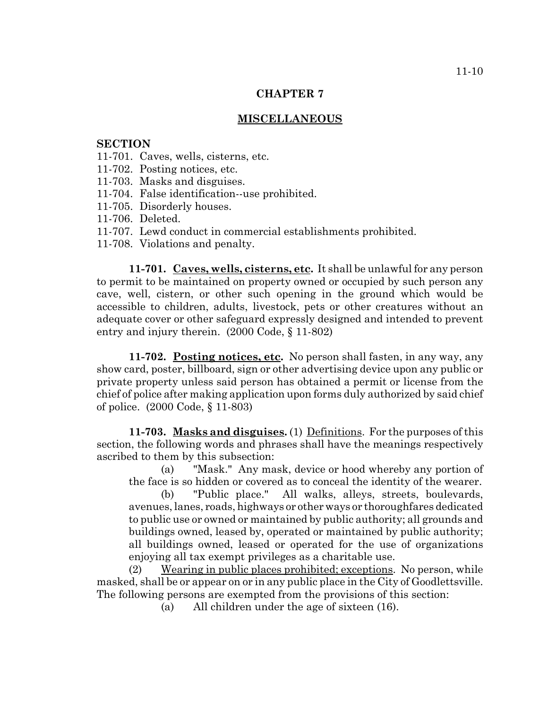## **MISCELLANEOUS**

### **SECTION**

- 11-701. Caves, wells, cisterns, etc.
- 11-702. Posting notices, etc.
- 11-703. Masks and disguises.
- 11-704. False identification--use prohibited.
- 11-705. Disorderly houses.
- 11-706. Deleted.
- 11-707. Lewd conduct in commercial establishments prohibited.
- 11-708. Violations and penalty.

**11-701. Caves, wells, cisterns, etc.** It shall be unlawful for any person to permit to be maintained on property owned or occupied by such person any cave, well, cistern, or other such opening in the ground which would be accessible to children, adults, livestock, pets or other creatures without an adequate cover or other safeguard expressly designed and intended to prevent entry and injury therein. (2000 Code, § 11-802)

**11-702. Posting notices, etc.** No person shall fasten, in any way, any show card, poster, billboard, sign or other advertising device upon any public or private property unless said person has obtained a permit or license from the chief of police after making application upon forms duly authorized by said chief of police. (2000 Code, § 11-803)

**11-703. Masks and disguises.** (1) Definitions. For the purposes of this section, the following words and phrases shall have the meanings respectively ascribed to them by this subsection:

(a) "Mask." Any mask, device or hood whereby any portion of the face is so hidden or covered as to conceal the identity of the wearer.

(b) "Public place." All walks, alleys, streets, boulevards, avenues, lanes, roads, highways or other ways or thoroughfares dedicated to public use or owned or maintained by public authority; all grounds and buildings owned, leased by, operated or maintained by public authority; all buildings owned, leased or operated for the use of organizations enjoying all tax exempt privileges as a charitable use.

(2) Wearing in public places prohibited; exceptions. No person, while masked, shall be or appear on or in any public place in the City of Goodlettsville. The following persons are exempted from the provisions of this section:

(a) All children under the age of sixteen (16).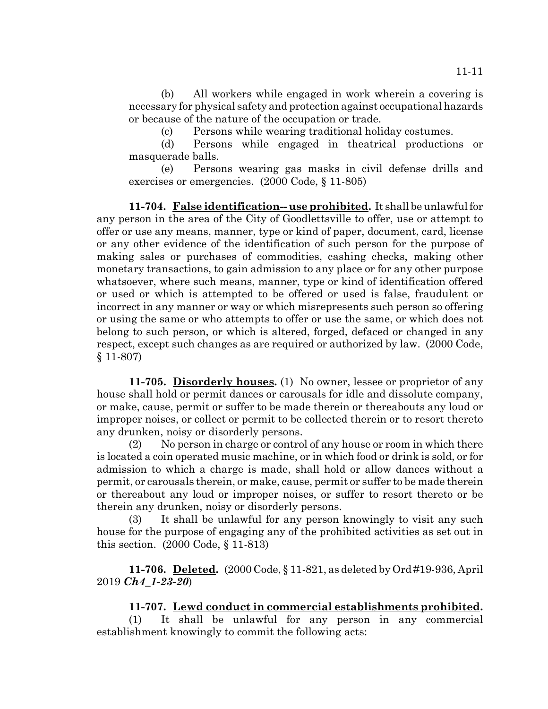(b) All workers while engaged in work wherein a covering is necessary for physical safety and protection against occupational hazards or because of the nature of the occupation or trade.

(c) Persons while wearing traditional holiday costumes.

(d) Persons while engaged in theatrical productions or masquerade balls.

(e) Persons wearing gas masks in civil defense drills and exercises or emergencies. (2000 Code, § 11-805)

**11-704. False identification-- use prohibited.** It shall be unlawful for any person in the area of the City of Goodlettsville to offer, use or attempt to offer or use any means, manner, type or kind of paper, document, card, license or any other evidence of the identification of such person for the purpose of making sales or purchases of commodities, cashing checks, making other monetary transactions, to gain admission to any place or for any other purpose whatsoever, where such means, manner, type or kind of identification offered or used or which is attempted to be offered or used is false, fraudulent or incorrect in any manner or way or which misrepresents such person so offering or using the same or who attempts to offer or use the same, or which does not belong to such person, or which is altered, forged, defaced or changed in any respect, except such changes as are required or authorized by law. (2000 Code, § 11-807)

**11-705. Disorderly houses.** (1) No owner, lessee or proprietor of any house shall hold or permit dances or carousals for idle and dissolute company, or make, cause, permit or suffer to be made therein or thereabouts any loud or improper noises, or collect or permit to be collected therein or to resort thereto any drunken, noisy or disorderly persons.

(2) No person in charge or control of any house or room in which there is located a coin operated music machine, or in which food or drink is sold, or for admission to which a charge is made, shall hold or allow dances without a permit, or carousals therein, or make, cause, permit or suffer to be made therein or thereabout any loud or improper noises, or suffer to resort thereto or be therein any drunken, noisy or disorderly persons.

(3) It shall be unlawful for any person knowingly to visit any such house for the purpose of engaging any of the prohibited activities as set out in this section. (2000 Code, § 11-813)

**11-706. Deleted.** (2000 Code, § 11-821, as deleted by Ord #19-936, April 2019 *Ch4\_1-23-20*)

# **11-707. Lewd conduct in commercial establishments prohibited.**

(1) It shall be unlawful for any person in any commercial establishment knowingly to commit the following acts: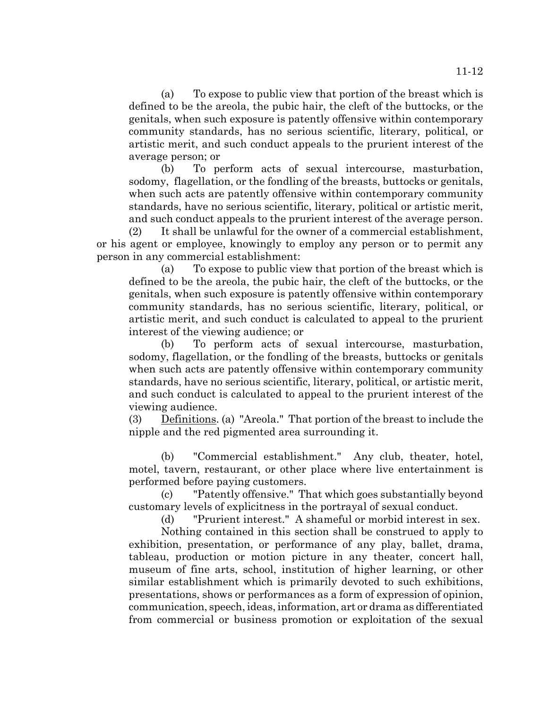(a) To expose to public view that portion of the breast which is defined to be the areola, the pubic hair, the cleft of the buttocks, or the genitals, when such exposure is patently offensive within contemporary community standards, has no serious scientific, literary, political, or artistic merit, and such conduct appeals to the prurient interest of the average person; or

(b) To perform acts of sexual intercourse, masturbation, sodomy, flagellation, or the fondling of the breasts, buttocks or genitals, when such acts are patently offensive within contemporary community standards, have no serious scientific, literary, political or artistic merit, and such conduct appeals to the prurient interest of the average person.

(2) It shall be unlawful for the owner of a commercial establishment, or his agent or employee, knowingly to employ any person or to permit any person in any commercial establishment:

(a) To expose to public view that portion of the breast which is defined to be the areola, the pubic hair, the cleft of the buttocks, or the genitals, when such exposure is patently offensive within contemporary community standards, has no serious scientific, literary, political, or artistic merit, and such conduct is calculated to appeal to the prurient interest of the viewing audience; or

(b) To perform acts of sexual intercourse, masturbation, sodomy, flagellation, or the fondling of the breasts, buttocks or genitals when such acts are patently offensive within contemporary community standards, have no serious scientific, literary, political, or artistic merit, and such conduct is calculated to appeal to the prurient interest of the viewing audience.

(3) Definitions. (a) "Areola." That portion of the breast to include the nipple and the red pigmented area surrounding it.

(b) "Commercial establishment." Any club, theater, hotel, motel, tavern, restaurant, or other place where live entertainment is performed before paying customers.

(c) "Patently offensive." That which goes substantially beyond customary levels of explicitness in the portrayal of sexual conduct.

(d) "Prurient interest." A shameful or morbid interest in sex.

Nothing contained in this section shall be construed to apply to exhibition, presentation, or performance of any play, ballet, drama, tableau, production or motion picture in any theater, concert hall, museum of fine arts, school, institution of higher learning, or other similar establishment which is primarily devoted to such exhibitions, presentations, shows or performances as a form of expression of opinion, communication, speech, ideas, information, art or drama as differentiated from commercial or business promotion or exploitation of the sexual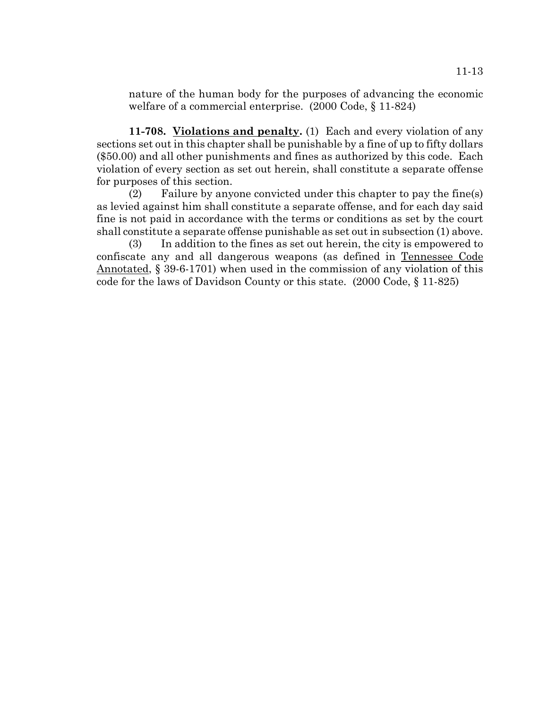nature of the human body for the purposes of advancing the economic welfare of a commercial enterprise. (2000 Code, § 11-824)

**11-708. Violations and penalty.** (1) Each and every violation of any sections set out in this chapter shall be punishable by a fine of up to fifty dollars (\$50.00) and all other punishments and fines as authorized by this code. Each violation of every section as set out herein, shall constitute a separate offense for purposes of this section.

(2) Failure by anyone convicted under this chapter to pay the fine(s) as levied against him shall constitute a separate offense, and for each day said fine is not paid in accordance with the terms or conditions as set by the court shall constitute a separate offense punishable as set out in subsection (1) above.

(3) In addition to the fines as set out herein, the city is empowered to confiscate any and all dangerous weapons (as defined in Tennessee Code Annotated, § 39-6-1701) when used in the commission of any violation of this code for the laws of Davidson County or this state. (2000 Code, § 11-825)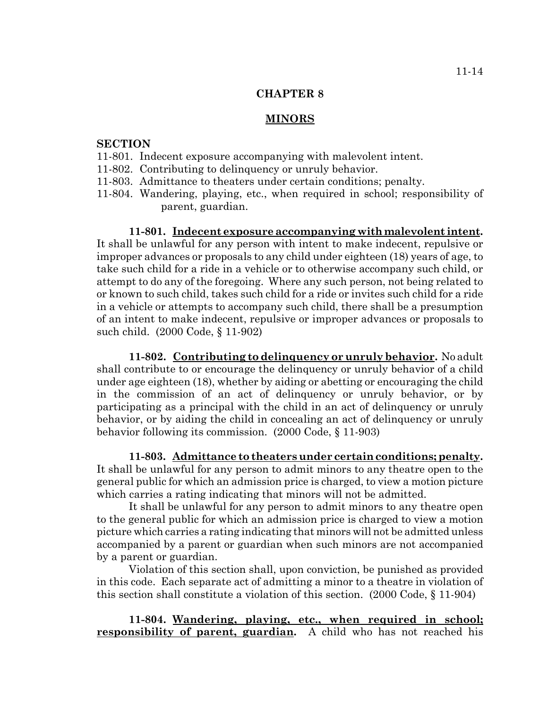#### **MINORS**

## **SECTION**

- 11-801. Indecent exposure accompanying with malevolent intent.
- 11-802. Contributing to delinquency or unruly behavior.
- 11-803. Admittance to theaters under certain conditions; penalty.
- 11-804. Wandering, playing, etc., when required in school; responsibility of parent, guardian.

#### **11-801. Indecent exposure accompanying with malevolent intent.**

It shall be unlawful for any person with intent to make indecent, repulsive or improper advances or proposals to any child under eighteen (18) years of age, to take such child for a ride in a vehicle or to otherwise accompany such child, or attempt to do any of the foregoing. Where any such person, not being related to or known to such child, takes such child for a ride or invites such child for a ride in a vehicle or attempts to accompany such child, there shall be a presumption of an intent to make indecent, repulsive or improper advances or proposals to such child. (2000 Code, § 11-902)

**11-802. Contributing to delinquency or unruly behavior.** No adult shall contribute to or encourage the delinquency or unruly behavior of a child under age eighteen (18), whether by aiding or abetting or encouraging the child in the commission of an act of delinquency or unruly behavior, or by participating as a principal with the child in an act of delinquency or unruly behavior, or by aiding the child in concealing an act of delinquency or unruly behavior following its commission. (2000 Code, § 11-903)

**11-803. Admittance to theaters under certain conditions; penalty.** It shall be unlawful for any person to admit minors to any theatre open to the general public for which an admission price is charged, to view a motion picture which carries a rating indicating that minors will not be admitted.

It shall be unlawful for any person to admit minors to any theatre open to the general public for which an admission price is charged to view a motion picture which carries a rating indicating that minors will not be admitted unless accompanied by a parent or guardian when such minors are not accompanied by a parent or guardian.

Violation of this section shall, upon conviction, be punished as provided in this code. Each separate act of admitting a minor to a theatre in violation of this section shall constitute a violation of this section. (2000 Code, § 11-904)

**11-804. Wandering, playing, etc., when required in school; responsibility of parent, guardian.** A child who has not reached his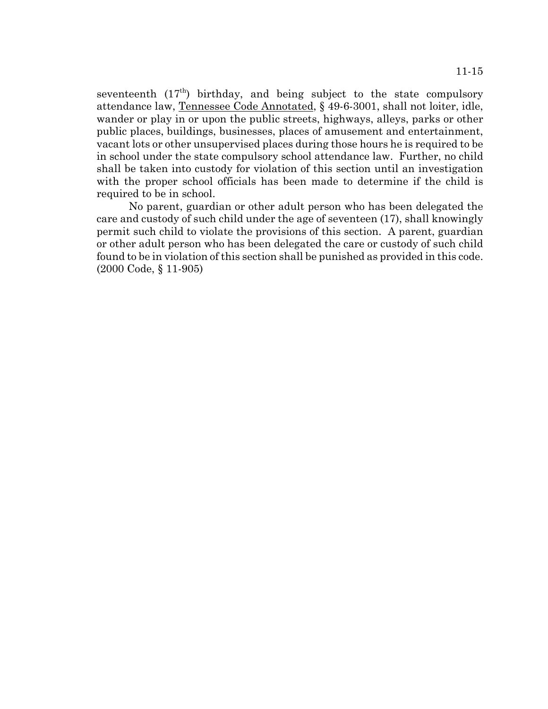seventeenth  $(17<sup>th</sup>)$  birthday, and being subject to the state compulsory attendance law, Tennessee Code Annotated, § 49-6-3001, shall not loiter, idle, wander or play in or upon the public streets, highways, alleys, parks or other public places, buildings, businesses, places of amusement and entertainment, vacant lots or other unsupervised places during those hours he is required to be in school under the state compulsory school attendance law. Further, no child shall be taken into custody for violation of this section until an investigation with the proper school officials has been made to determine if the child is required to be in school.

No parent, guardian or other adult person who has been delegated the care and custody of such child under the age of seventeen (17), shall knowingly permit such child to violate the provisions of this section. A parent, guardian or other adult person who has been delegated the care or custody of such child found to be in violation of this section shall be punished as provided in this code. (2000 Code, § 11-905)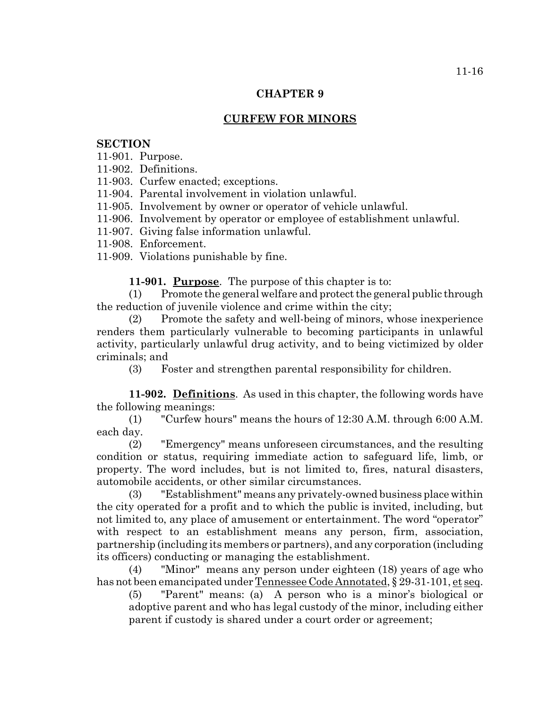# **CURFEW FOR MINORS**

## **SECTION**

11-901. Purpose.

11-902. Definitions.

11-903. Curfew enacted; exceptions.

11-904. Parental involvement in violation unlawful.

11-905. Involvement by owner or operator of vehicle unlawful.

11-906. Involvement by operator or employee of establishment unlawful.

11-907. Giving false information unlawful.

11-908. Enforcement.

11-909. Violations punishable by fine.

**11-901. Purpose**. The purpose of this chapter is to:

(1) Promote the general welfare and protect the general public through the reduction of juvenile violence and crime within the city;

(2) Promote the safety and well-being of minors, whose inexperience renders them particularly vulnerable to becoming participants in unlawful activity, particularly unlawful drug activity, and to being victimized by older criminals; and

(3) Foster and strengthen parental responsibility for children.

**11-902. Definitions**. As used in this chapter, the following words have the following meanings:

(1) "Curfew hours" means the hours of 12:30 A.M. through 6:00 A.M. each day.

(2) "Emergency" means unforeseen circumstances, and the resulting condition or status, requiring immediate action to safeguard life, limb, or property. The word includes, but is not limited to, fires, natural disasters, automobile accidents, or other similar circumstances.

(3) "Establishment" means any privately-owned business place within the city operated for a profit and to which the public is invited, including, but not limited to, any place of amusement or entertainment. The word "operator" with respect to an establishment means any person, firm, association, partnership (including its members or partners), and any corporation (including its officers) conducting or managing the establishment.

(4) "Minor" means any person under eighteen (18) years of age who has not been emancipated under Tennessee Code Annotated, § 29-31-101, et seq.

(5) "Parent" means: (a) A person who is a minor's biological or adoptive parent and who has legal custody of the minor, including either parent if custody is shared under a court order or agreement;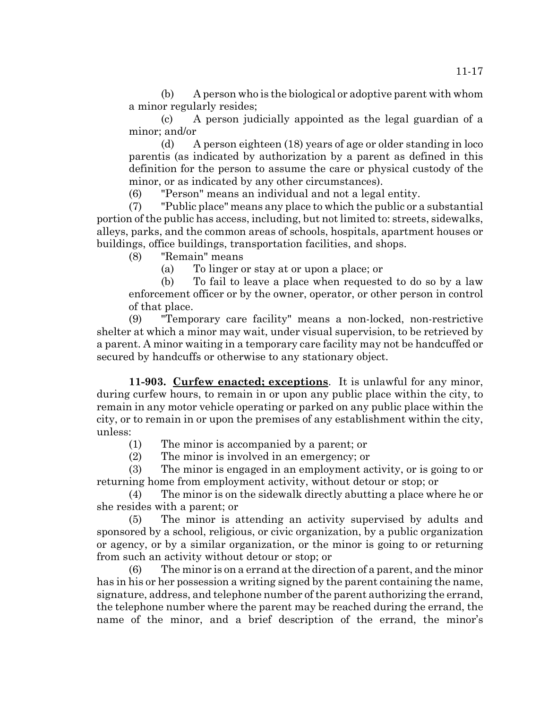(b) A person who is the biological or adoptive parent with whom a minor regularly resides;

(c) A person judicially appointed as the legal guardian of a minor; and/or

(d) A person eighteen (18) years of age or older standing in loco parentis (as indicated by authorization by a parent as defined in this definition for the person to assume the care or physical custody of the minor, or as indicated by any other circumstances).

(6) "Person" means an individual and not a legal entity.

(7) "Public place" means any place to which the public or a substantial portion of the public has access, including, but not limited to: streets, sidewalks, alleys, parks, and the common areas of schools, hospitals, apartment houses or buildings, office buildings, transportation facilities, and shops.

(8) "Remain" means

(a) To linger or stay at or upon a place; or

(b) To fail to leave a place when requested to do so by a law enforcement officer or by the owner, operator, or other person in control of that place.

(9) "Temporary care facility" means a non-locked, non-restrictive shelter at which a minor may wait, under visual supervision, to be retrieved by a parent. A minor waiting in a temporary care facility may not be handcuffed or secured by handcuffs or otherwise to any stationary object.

**11-903. Curfew enacted; exceptions**. It is unlawful for any minor, during curfew hours, to remain in or upon any public place within the city, to remain in any motor vehicle operating or parked on any public place within the city, or to remain in or upon the premises of any establishment within the city, unless:

(1) The minor is accompanied by a parent; or

(2) The minor is involved in an emergency; or

(3) The minor is engaged in an employment activity, or is going to or returning home from employment activity, without detour or stop; or

(4) The minor is on the sidewalk directly abutting a place where he or she resides with a parent; or

(5) The minor is attending an activity supervised by adults and sponsored by a school, religious, or civic organization, by a public organization or agency, or by a similar organization, or the minor is going to or returning from such an activity without detour or stop; or

(6) The minor is on a errand at the direction of a parent, and the minor has in his or her possession a writing signed by the parent containing the name, signature, address, and telephone number of the parent authorizing the errand, the telephone number where the parent may be reached during the errand, the name of the minor, and a brief description of the errand, the minor's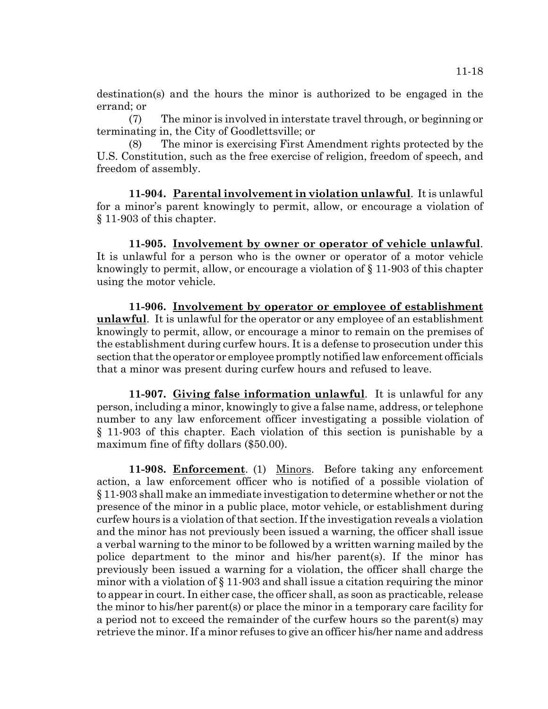destination(s) and the hours the minor is authorized to be engaged in the errand; or

(7) The minor is involved in interstate travel through, or beginning or terminating in, the City of Goodlettsville; or

(8) The minor is exercising First Amendment rights protected by the U.S. Constitution, such as the free exercise of religion, freedom of speech, and freedom of assembly.

**11-904. Parental involvement in violation unlawful**. It is unlawful for a minor's parent knowingly to permit, allow, or encourage a violation of § 11-903 of this chapter.

**11-905. Involvement by owner or operator of vehicle unlawful**. It is unlawful for a person who is the owner or operator of a motor vehicle knowingly to permit, allow, or encourage a violation of § 11-903 of this chapter using the motor vehicle.

**11-906. Involvement by operator or employee of establishment unlawful**. It is unlawful for the operator or any employee of an establishment knowingly to permit, allow, or encourage a minor to remain on the premises of the establishment during curfew hours. It is a defense to prosecution under this section that the operator or employee promptly notified law enforcement officials that a minor was present during curfew hours and refused to leave.

**11-907. Giving false information unlawful**. It is unlawful for any person, including a minor, knowingly to give a false name, address, or telephone number to any law enforcement officer investigating a possible violation of § 11-903 of this chapter. Each violation of this section is punishable by a maximum fine of fifty dollars (\$50.00).

**11-908. Enforcement**. (1) Minors. Before taking any enforcement action, a law enforcement officer who is notified of a possible violation of § 11-903 shall make an immediate investigation to determine whether or not the presence of the minor in a public place, motor vehicle, or establishment during curfew hours is a violation of that section. If the investigation reveals a violation and the minor has not previously been issued a warning, the officer shall issue a verbal warning to the minor to be followed by a written warning mailed by the police department to the minor and his/her parent(s). If the minor has previously been issued a warning for a violation, the officer shall charge the minor with a violation of § 11-903 and shall issue a citation requiring the minor to appear in court. In either case, the officer shall, as soon as practicable, release the minor to his/her parent(s) or place the minor in a temporary care facility for a period not to exceed the remainder of the curfew hours so the parent(s) may retrieve the minor. If a minor refuses to give an officer his/her name and address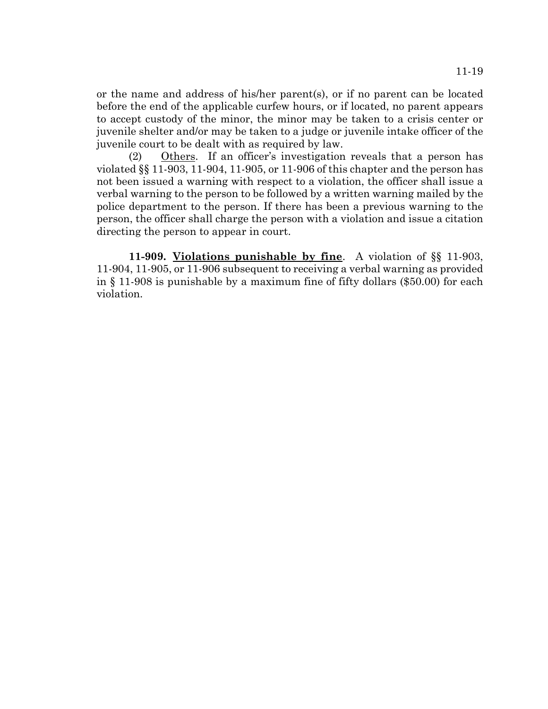or the name and address of his/her parent(s), or if no parent can be located before the end of the applicable curfew hours, or if located, no parent appears to accept custody of the minor, the minor may be taken to a crisis center or juvenile shelter and/or may be taken to a judge or juvenile intake officer of the juvenile court to be dealt with as required by law.

(2) Others. If an officer's investigation reveals that a person has violated §§ 11-903, 11-904, 11-905, or 11-906 of this chapter and the person has not been issued a warning with respect to a violation, the officer shall issue a verbal warning to the person to be followed by a written warning mailed by the police department to the person. If there has been a previous warning to the person, the officer shall charge the person with a violation and issue a citation directing the person to appear in court.

**11-909. Violations punishable by fine**. A violation of §§ 11-903, 11-904, 11-905, or 11-906 subsequent to receiving a verbal warning as provided in § 11-908 is punishable by a maximum fine of fifty dollars (\$50.00) for each violation.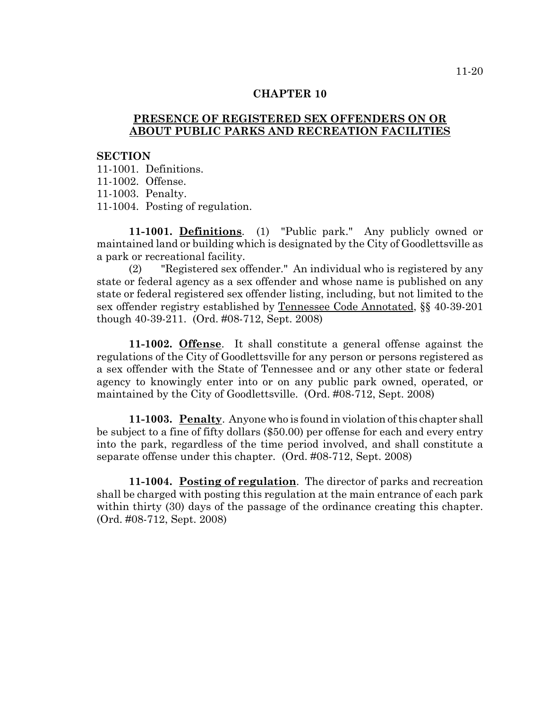## **PRESENCE OF REGISTERED SEX OFFENDERS ON OR ABOUT PUBLIC PARKS AND RECREATION FACILITIES**

#### **SECTION**

11-1001. Definitions.

11-1002. Offense.

11-1003. Penalty.

11-1004. Posting of regulation.

**11-1001. Definitions**. (1) "Public park." Any publicly owned or maintained land or building which is designated by the City of Goodlettsville as a park or recreational facility.

(2) "Registered sex offender." An individual who is registered by any state or federal agency as a sex offender and whose name is published on any state or federal registered sex offender listing, including, but not limited to the sex offender registry established by Tennessee Code Annotated, §§ 40-39-201 though 40-39-211. (Ord. #08-712, Sept. 2008)

**11-1002. Offense**. It shall constitute a general offense against the regulations of the City of Goodlettsville for any person or persons registered as a sex offender with the State of Tennessee and or any other state or federal agency to knowingly enter into or on any public park owned, operated, or maintained by the City of Goodlettsville. (Ord. #08-712, Sept. 2008)

**11-1003. Penalty**. Anyone who is found in violation of this chapter shall be subject to a fine of fifty dollars (\$50.00) per offense for each and every entry into the park, regardless of the time period involved, and shall constitute a separate offense under this chapter. (Ord. #08-712, Sept. 2008)

**11-1004. Posting of regulation**. The director of parks and recreation shall be charged with posting this regulation at the main entrance of each park within thirty (30) days of the passage of the ordinance creating this chapter. (Ord. #08-712, Sept. 2008)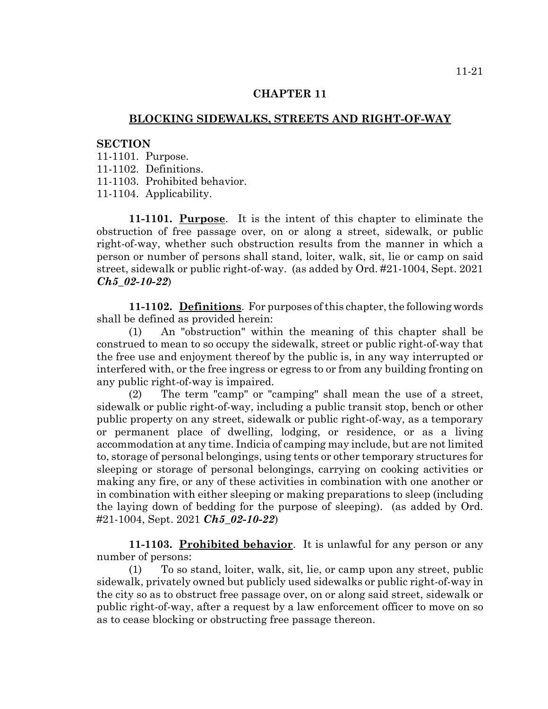## **BLOCKING SIDEWALKS, STREETS AND RIGHT-OF-WAY**

### **SECTION**

- 11-1101. Purpose.
- 11-1102. Definitions.
- 11-1103. Prohibited behavior.
- 11-1104. Applicability.

**11-1101. Purpose**. It is the intent of this chapter to eliminate the obstruction of free passage over, on or along a street, sidewalk, or public right-of-way, whether such obstruction results from the manner in which a person or number of persons shall stand, loiter, walk, sit, lie or camp on said street, sidewalk or public right-of-way. (as added by Ord. #21-1004, Sept. 2021 *Ch5\_02-10-22*)

**11-1102. Definitions**. For purposes of this chapter, the following words shall be defined as provided herein:

(1) An "obstruction" within the meaning of this chapter shall be construed to mean to so occupy the sidewalk, street or public right-of-way that the free use and enjoyment thereof by the public is, in any way interrupted or interfered with, or the free ingress or egress to or from any building fronting on any public right-of-way is impaired.

(2) The term "camp" or "camping" shall mean the use of a street, sidewalk or public right-of-way, including a public transit stop, bench or other public property on any street, sidewalk or public right-of-way, as a temporary or permanent place of dwelling, lodging, or residence, or as a living accommodation at any time. Indicia of camping may include, but are not limited to, storage of personal belongings, using tents or other temporary structures for sleeping or storage of personal belongings, carrying on cooking activities or making any fire, or any of these activities in combination with one another or in combination with either sleeping or making preparations to sleep (including the laying down of bedding for the purpose of sleeping). (as added by Ord. #21-1004, Sept. 2021 *Ch5\_02-10-22*)

**11-1103. Prohibited behavior**. It is unlawful for any person or any number of persons:

(1) To so stand, loiter, walk, sit, lie, or camp upon any street, public sidewalk, privately owned but publicly used sidewalks or public right-of-way in the city so as to obstruct free passage over, on or along said street, sidewalk or public right-of-way, after a request by a law enforcement officer to move on so as to cease blocking or obstructing free passage thereon.